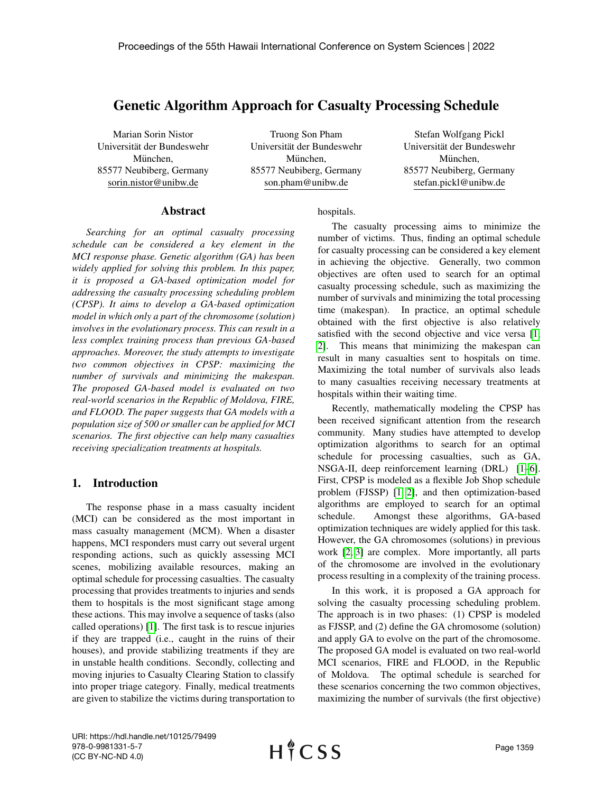# Genetic Algorithm Approach for Casualty Processing Schedule

Marian Sorin Nistor Universität der Bundeswehr München. 85577 Neubiberg, Germany sorin.nistor@unibw.de

Truong Son Pham Universität der Bundeswehr München. 85577 Neubiberg, Germany son.pham@unibw.de

Stefan Wolfgang Pickl Universität der Bundeswehr München. 85577 Neubiberg, Germany stefan.pickl@unibw.de

### Abstract

*Searching for an optimal casualty processing schedule can be considered a key element in the MCI response phase. Genetic algorithm (GA) has been widely applied for solving this problem. In this paper, it is proposed a GA-based optimization model for addressing the casualty processing scheduling problem (CPSP). It aims to develop a GA-based optimization model in which only a part of the chromosome (solution) involves in the evolutionary process. This can result in a less complex training process than previous GA-based approaches. Moreover, the study attempts to investigate two common objectives in CPSP: maximizing the number of survivals and minimizing the makespan. The proposed GA-based model is evaluated on two real-world scenarios in the Republic of Moldova, FIRE, and FLOOD. The paper suggests that GA models with a population size of 500 or smaller can be applied for MCI scenarios. The first objective can help many casualties receiving specialization treatments at hospitals.*

# 1. Introduction

The response phase in a mass casualty incident (MCI) can be considered as the most important in mass casualty management (MCM). When a disaster happens, MCI responders must carry out several urgent responding actions, such as quickly assessing MCI scenes, mobilizing available resources, making an optimal schedule for processing casualties. The casualty processing that provides treatments to injuries and sends them to hospitals is the most significant stage among these actions. This may involve a sequence of tasks (also called operations) [\[1\]](#page-8-0). The first task is to rescue injuries if they are trapped (i.e., caught in the ruins of their houses), and provide stabilizing treatments if they are in unstable health conditions. Secondly, collecting and moving injuries to Casualty Clearing Station to classify into proper triage category. Finally, medical treatments are given to stabilize the victims during transportation to

hospitals.

The casualty processing aims to minimize the number of victims. Thus, finding an optimal schedule for casualty processing can be considered a key element in achieving the objective. Generally, two common objectives are often used to search for an optimal casualty processing schedule, such as maximizing the number of survivals and minimizing the total processing time (makespan). In practice, an optimal schedule obtained with the first objective is also relatively satisfied with the second objective and vice versa [\[1,](#page-8-0) [2\]](#page-8-1). This means that minimizing the makespan can result in many casualties sent to hospitals on time. Maximizing the total number of survivals also leads to many casualties receiving necessary treatments at hospitals within their waiting time.

Recently, mathematically modeling the CPSP has been received significant attention from the research community. Many studies have attempted to develop optimization algorithms to search for an optimal schedule for processing casualties, such as GA, NSGA-II, deep reinforcement learning (DRL) [\[1](#page-8-0)[–6\]](#page-8-2). First, CPSP is modeled as a flexible Job Shop schedule problem (FJSSP) [\[1,](#page-8-0) [2\]](#page-8-1), and then optimization-based algorithms are employed to search for an optimal schedule. Amongst these algorithms, GA-based optimization techniques are widely applied for this task. However, the GA chromosomes (solutions) in previous work [\[2,](#page-8-1) [3\]](#page-8-3) are complex. More importantly, all parts of the chromosome are involved in the evolutionary process resulting in a complexity of the training process.

In this work, it is proposed a GA approach for solving the casualty processing scheduling problem. The approach is in two phases: (1) CPSP is modeled as FJSSP, and (2) define the GA chromosome (solution) and apply GA to evolve on the part of the chromosome. The proposed GA model is evaluated on two real-world MCI scenarios, FIRE and FLOOD, in the Republic of Moldova. The optimal schedule is searched for these scenarios concerning the two common objectives, maximizing the number of survivals (the first objective)

URI: https://hdl.handle.net/10125/79499 978-0-9981331-5-7 (CC BY-NC-ND 4.0)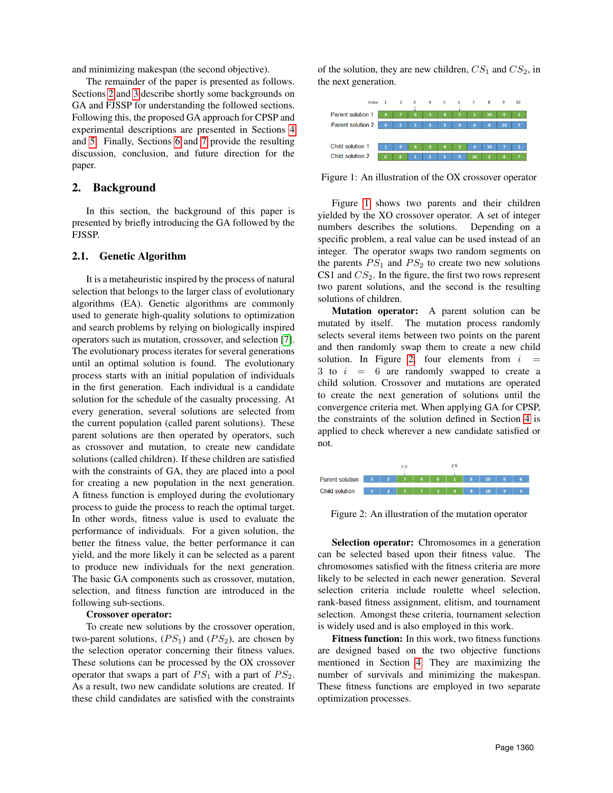and minimizing makespan (the second objective).

The remainder of the paper is presented as follows. Sections [2](#page-1-0) and [3](#page-2-0) describe shortly some backgrounds on GA and FJSSP for understanding the followed sections. Following this, the proposed GA approach for CPSP and experimental descriptions are presented in Sections [4](#page-2-1) and [5.](#page-4-0) Finally, Sections [6](#page-5-0) and [7](#page-8-4) provide the resulting discussion, conclusion, and future direction for the paper.

### <span id="page-1-0"></span>2. Background

In this section, the background of this paper is presented by briefly introducing the GA followed by the FJSSP.

#### 2.1. Genetic Algorithm

It is a metaheuristic inspired by the process of natural selection that belongs to the larger class of evolutionary algorithms (EA). Genetic algorithms are commonly used to generate high-quality solutions to optimization and search problems by relying on biologically inspired operators such as mutation, crossover, and selection [\[7\]](#page-8-5). The evolutionary process iterates for several generations until an optimal solution is found. The evolutionary process starts with an initial population of individuals in the first generation. Each individual is a candidate solution for the schedule of the casualty processing. At every generation, several solutions are selected from the current population (called parent solutions). These parent solutions are then operated by operators, such as crossover and mutation, to create new candidate solutions (called children). If these children are satisfied with the constraints of GA, they are placed into a pool for creating a new population in the next generation. A fitness function is employed during the evolutionary process to guide the process to reach the optimal target. In other words, fitness value is used to evaluate the performance of individuals. For a given solution, the better the fitness value, the better performance it can yield, and the more likely it can be selected as a parent to produce new individuals for the next generation. The basic GA components such as crossover, mutation, selection, and fitness function are introduced in the following sub-sections.

#### Crossover operator:

To create new solutions by the crossover operation, two-parent solutions,  $(PS_1)$  and  $(PS_2)$ , are chosen by the selection operator concerning their fitness values. These solutions can be processed by the OX crossover operator that swaps a part of  $PS_1$  with a part of  $PS_2$ . As a result, two new candidate solutions are created. If these child candidates are satisfied with the constraints of the solution, they are new children,  $CS_1$  and  $CS_2$ , in the next generation.

<span id="page-1-1"></span>

Figure 1: An illustration of the OX crossover operator

Figure [1](#page-1-1) shows two parents and their children yielded by the XO crossover operator. A set of integer numbers describes the solutions. Depending on a specific problem, a real value can be used instead of an integer. The operator swaps two random segments on the parents  $PS_1$  and  $PS_2$  to create two new solutions CS1 and  $CS_2$ . In the figure, the first two rows represent two parent solutions, and the second is the resulting solutions of children.

Mutation operator: A parent solution can be mutated by itself. The mutation process randomly selects several items between two points on the parent and then randomly swap them to create a new child solution. In Figure [2,](#page-1-2) four elements from  $i$ 3 to  $i = 6$  are randomly swapped to create a child solution. Crossover and mutations are operated to create the next generation of solutions until the convergence criteria met. When applying GA for CPSP, the constraints of the solution defined in Section [4](#page-2-1) is applied to check wherever a new candidate satisfied or not.

<span id="page-1-2"></span>

Figure 2: An illustration of the mutation operator

Selection operator: Chromosomes in a generation can be selected based upon their fitness value. The chromosomes satisfied with the fitness criteria are more likely to be selected in each newer generation. Several selection criteria include roulette wheel selection, rank-based fitness assignment, elitism, and tournament selection. Amongst these criteria, tournament selection is widely used and is also employed in this work.

Fitness function: In this work, two fitness functions are designed based on the two objective functions mentioned in Section [4.](#page-2-1) They are maximizing the number of survivals and minimizing the makespan. These fitness functions are employed in two separate optimization processes.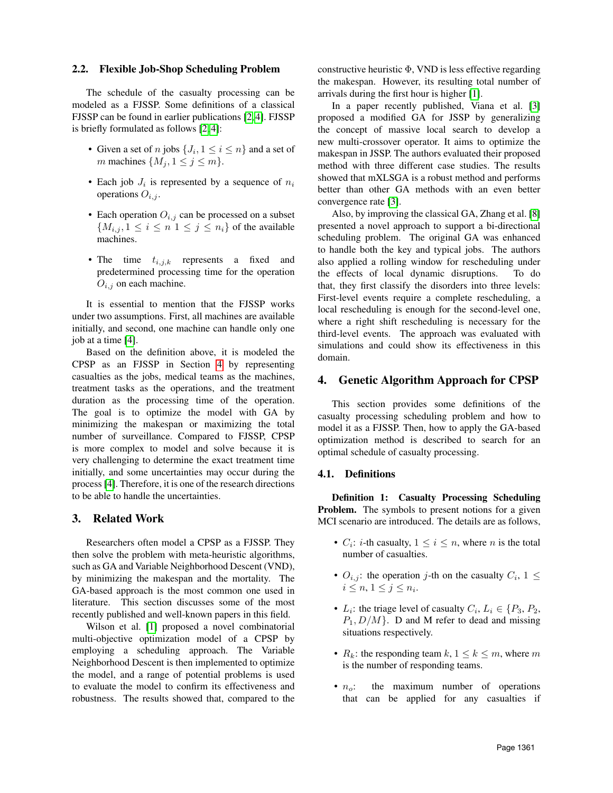#### 2.2. Flexible Job-Shop Scheduling Problem

The schedule of the casualty processing can be modeled as a FJSSP. Some definitions of a classical FJSSP can be found in earlier publications [\[2,](#page-8-1) [4\]](#page-8-6). FJSSP is briefly formulated as follows [\[2,](#page-8-1) [4\]](#page-8-6):

- Given a set of *n* jobs  $\{J_i, 1 \le i \le n\}$  and a set of m machines  $\{M_i, 1 \leq j \leq m\}.$
- Each job  $J_i$  is represented by a sequence of  $n_i$ operations  $O_{i,j}$ .
- Each operation  $O_{i,j}$  can be processed on a subset  ${M_{i,j}, 1 \leq i \leq n \mid 1 \leq j \leq n_i}$  of the available machines.
- The time  $t_{i,j,k}$  represents a fixed and predetermined processing time for the operation  $O_{i,j}$  on each machine.

It is essential to mention that the FJSSP works under two assumptions. First, all machines are available initially, and second, one machine can handle only one job at a time [\[4\]](#page-8-6).

Based on the definition above, it is modeled the CPSP as an FJSSP in Section [4](#page-2-1) by representing casualties as the jobs, medical teams as the machines, treatment tasks as the operations, and the treatment duration as the processing time of the operation. The goal is to optimize the model with GA by minimizing the makespan or maximizing the total number of surveillance. Compared to FJSSP, CPSP is more complex to model and solve because it is very challenging to determine the exact treatment time initially, and some uncertainties may occur during the process [\[4\]](#page-8-6). Therefore, it is one of the research directions to be able to handle the uncertainties.

### <span id="page-2-0"></span>3. Related Work

Researchers often model a CPSP as a FJSSP. They then solve the problem with meta-heuristic algorithms, such as GA and Variable Neighborhood Descent (VND), by minimizing the makespan and the mortality. The GA-based approach is the most common one used in literature. This section discusses some of the most recently published and well-known papers in this field.

Wilson et al. [\[1\]](#page-8-0) proposed a novel combinatorial multi-objective optimization model of a CPSP by employing a scheduling approach. The Variable Neighborhood Descent is then implemented to optimize the model, and a range of potential problems is used to evaluate the model to confirm its effectiveness and robustness. The results showed that, compared to the

constructive heuristic  $\Phi$ , VND is less effective regarding the makespan. However, its resulting total number of arrivals during the first hour is higher [\[1\]](#page-8-0).

In a paper recently published, Viana et al. [\[3\]](#page-8-3) proposed a modified GA for JSSP by generalizing the concept of massive local search to develop a new multi-crossover operator. It aims to optimize the makespan in JSSP. The authors evaluated their proposed method with three different case studies. The results showed that mXLSGA is a robust method and performs better than other GA methods with an even better convergence rate [\[3\]](#page-8-3).

Also, by improving the classical GA, Zhang et al. [\[8\]](#page-8-7) presented a novel approach to support a bi-directional scheduling problem. The original GA was enhanced to handle both the key and typical jobs. The authors also applied a rolling window for rescheduling under the effects of local dynamic disruptions. To do that, they first classify the disorders into three levels: First-level events require a complete rescheduling, a local rescheduling is enough for the second-level one, where a right shift rescheduling is necessary for the third-level events. The approach was evaluated with simulations and could show its effectiveness in this domain.

### <span id="page-2-1"></span>4. Genetic Algorithm Approach for CPSP

This section provides some definitions of the casualty processing scheduling problem and how to model it as a FJSSP. Then, how to apply the GA-based optimization method is described to search for an optimal schedule of casualty processing.

### 4.1. Definitions

Definition 1: Casualty Processing Scheduling **Problem.** The symbols to present notions for a given MCI scenario are introduced. The details are as follows,

- $C_i$ : *i*-th casualty,  $1 \le i \le n$ , where *n* is the total number of casualties.
- $O_{i,j}$ : the operation j-th on the casualty  $C_i$ ,  $1 \leq$  $i \leq n, 1 \leq j \leq n_i.$
- $L_i$ : the triage level of casualty  $C_i$ ,  $L_i \in \{P_3, P_2, \}$  $P_1, D/M$ . D and M refer to dead and missing situations respectively.
- $R_k$ : the responding team  $k, 1 \leq k \leq m$ , where m is the number of responding teams.
- $n_o$ : the maximum number of operations that can be applied for any casualties if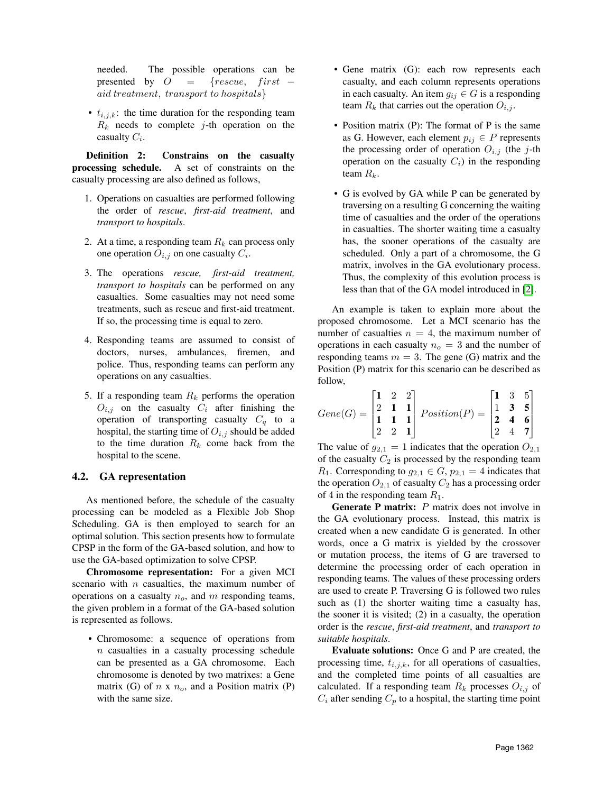needed. The possible operations can be presented by  $O = \{rescue, first\}$ aid treatment, transport to hospitals}

•  $t_{i,j,k}$ : the time duration for the responding team  $R_k$  needs to complete j-th operation on the casualty  $C_i$ .

Definition 2: Constrains on the casualty processing schedule. A set of constraints on the casualty processing are also defined as follows,

- 1. Operations on casualties are performed following the order of *rescue*, *first-aid treatment*, and *transport to hospitals*.
- 2. At a time, a responding team  $R_k$  can process only one operation  $O_{i,j}$  on one casualty  $C_i$ .
- 3. The operations *rescue, first-aid treatment, transport to hospitals* can be performed on any casualties. Some casualties may not need some treatments, such as rescue and first-aid treatment. If so, the processing time is equal to zero.
- 4. Responding teams are assumed to consist of doctors, nurses, ambulances, firemen, and police. Thus, responding teams can perform any operations on any casualties.
- 5. If a responding team  $R_k$  performs the operation  $O_{i,j}$  on the casualty  $C_i$  after finishing the operation of transporting casualty  $C_q$  to a hospital, the starting time of  $O_{i,j}$  should be added to the time duration  $R_k$  come back from the hospital to the scene.

#### 4.2. GA representation

As mentioned before, the schedule of the casualty processing can be modeled as a Flexible Job Shop Scheduling. GA is then employed to search for an optimal solution. This section presents how to formulate CPSP in the form of the GA-based solution, and how to use the GA-based optimization to solve CPSP.

Chromosome representation: For a given MCI scenario with  $n$  casualties, the maximum number of operations on a casualty  $n<sub>o</sub>$ , and m responding teams, the given problem in a format of the GA-based solution is represented as follows.

• Chromosome: a sequence of operations from  $n$  casualties in a casualty processing schedule can be presented as a GA chromosome. Each chromosome is denoted by two matrixes: a Gene matrix (G) of  $n \times n_o$ , and a Position matrix (P) with the same size.

- Gene matrix (G): each row represents each casualty, and each column represents operations in each casualty. An item  $g_{ij} \in G$  is a responding team  $R_k$  that carries out the operation  $O_{i,j}$ .
- Position matrix (P): The format of P is the same as G. However, each element  $p_{ij} \in P$  represents the processing order of operation  $O_{i,j}$  (the j-th operation on the casualty  $C_i$ ) in the responding team  $R_k$ .
- G is evolved by GA while P can be generated by traversing on a resulting G concerning the waiting time of casualties and the order of the operations in casualties. The shorter waiting time a casualty has, the sooner operations of the casualty are scheduled. Only a part of a chromosome, the G matrix, involves in the GA evolutionary process. Thus, the complexity of this evolution process is less than that of the GA model introduced in [\[2\]](#page-8-1).

An example is taken to explain more about the proposed chromosome. Let a MCI scenario has the number of casualties  $n = 4$ , the maximum number of operations in each casualty  $n<sub>o</sub> = 3$  and the number of responding teams  $m = 3$ . The gene (G) matrix and the Position (P) matrix for this scenario can be described as follow,

$$
Gene(G) = \begin{bmatrix} 1 & 2 & 2 \\ 2 & 1 & 1 \\ 1 & 1 & 1 \\ 2 & 2 & 1 \end{bmatrix} Position(P) = \begin{bmatrix} 1 & 3 & 5 \\ 1 & 3 & 5 \\ 2 & 4 & 6 \\ 2 & 4 & 7 \end{bmatrix}
$$

The value of  $g_{2,1} = 1$  indicates that the operation  $O_{2,1}$ of the casualty  $C_2$  is processed by the responding team  $R_1$ . Corresponding to  $g_{2,1} \in G$ ,  $p_{2,1} = 4$  indicates that the operation  $O_{2,1}$  of casualty  $C_2$  has a processing order of 4 in the responding team  $R_1$ .

**Generate P matrix:**  $P$  matrix does not involve in the GA evolutionary process. Instead, this matrix is created when a new candidate G is generated. In other words, once a G matrix is yielded by the crossover or mutation process, the items of G are traversed to determine the processing order of each operation in responding teams. The values of these processing orders are used to create P. Traversing G is followed two rules such as (1) the shorter waiting time a casualty has, the sooner it is visited; (2) in a casualty, the operation order is the *rescue*, *first-aid treatment*, and *transport to suitable hospitals*.

Evaluate solutions: Once G and P are created, the processing time,  $t_{i,j,k}$ , for all operations of casualties, and the completed time points of all casualties are calculated. If a responding team  $R_k$  processes  $O_{i,j}$  of  $C_i$  after sending  $C_p$  to a hospital, the starting time point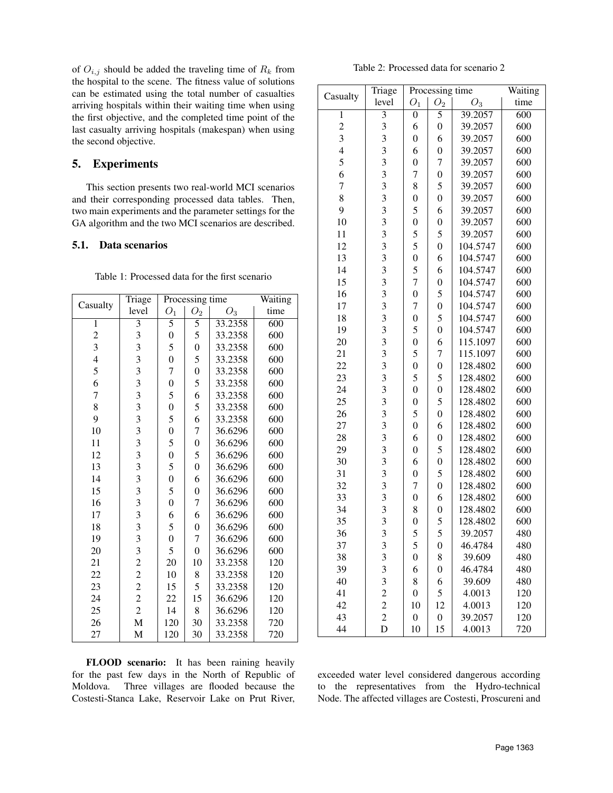of  $O_{i,j}$  should be added the traveling time of  $R_k$  from the hospital to the scene. The fitness value of solutions can be estimated using the total number of casualties arriving hospitals within their waiting time when using the first objective, and the completed time point of the last casualty arriving hospitals (makespan) when using the second objective.

# <span id="page-4-0"></span>5. Experiments

This section presents two real-world MCI scenarios and their corresponding processed data tables. Then, two main experiments and the parameter settings for the GA algorithm and the two MCI scenarios are described.

### 5.1. Data scenarios

<span id="page-4-1"></span>

| Table 1: Processed data for the first scenario |  |  |
|------------------------------------------------|--|--|
|                                                |  |  |

| Casualty                | Triage                                     |                  | Processing time  |         | Waiting |
|-------------------------|--------------------------------------------|------------------|------------------|---------|---------|
|                         | level                                      | $O_1$            | O <sub>2</sub>   | $O_3$   | time    |
| $\mathbf{1}$            | $\overline{3}$                             | 5                | 5                | 33.2358 | 600     |
| $\overline{c}$          | 3                                          | $\boldsymbol{0}$ | 5                | 33.2358 | 600     |
| $\overline{\mathbf{3}}$ | 3                                          | 5                | $\boldsymbol{0}$ | 33.2358 | 600     |
| $\overline{4}$          | $\overline{\mathbf{3}}$                    | $\boldsymbol{0}$ | 5                | 33.2358 | 600     |
| 5                       | $\overline{\mathbf{3}}$                    | $\overline{7}$   | $\overline{0}$   | 33.2358 | 600     |
| 6                       | $\overline{\mathbf{3}}$                    | $\boldsymbol{0}$ | 5                | 33.2358 | 600     |
| $\overline{7}$          | 3                                          | 5                | 6                | 33.2358 | 600     |
| 8                       | $\overline{\mathbf{3}}$                    | $\boldsymbol{0}$ | 5                | 33.2358 | 600     |
| 9                       | $\overline{\mathbf{3}}$                    | 5                | 6                | 33.2358 | 600     |
| 10                      | $\overline{\mathbf{3}}$                    | $\boldsymbol{0}$ | 7                | 36.6296 | 600     |
| 11                      | $\overline{\mathbf{3}}$                    | 5                | $\boldsymbol{0}$ | 36.6296 | 600     |
| 12                      | 3                                          | $\boldsymbol{0}$ | 5                | 36.6296 | 600     |
| 13                      | 3                                          | 5                | $\boldsymbol{0}$ | 36.6296 | 600     |
| 14                      | $\overline{\mathbf{3}}$                    | $\boldsymbol{0}$ | 6                | 36.6296 | 600     |
| 15                      | 3                                          | 5                | $\boldsymbol{0}$ | 36.6296 | 600     |
| 16                      | $\overline{\mathbf{3}}$                    | $\boldsymbol{0}$ | 7                | 36.6296 | 600     |
| 17                      | $\frac{3}{3}$                              | 6                | 6                | 36.6296 | 600     |
| 18                      |                                            | 5                | $\boldsymbol{0}$ | 36.6296 | 600     |
| 19                      | $\overline{\mathbf{3}}$                    | $\boldsymbol{0}$ | 7                | 36.6296 | 600     |
| 20                      | 3                                          | 5                | $\overline{0}$   | 36.6296 | 600     |
| 21                      | $\overline{c}$                             | 20               | 10               | 33.2358 | 120     |
| 22                      |                                            | 10               | 8                | 33.2358 | 120     |
| 23                      | $\begin{array}{c} 2 \\ 2 \\ 2 \end{array}$ | 15               | 5                | 33.2358 | 120     |
| 24                      |                                            | 22               | 15               | 36.6296 | 120     |
| 25                      | $\overline{c}$                             | 14               | 8                | 36.6296 | 120     |
| 26                      | $\overline{M}$                             | 120              | 30               | 33.2358 | 720     |
| 27                      | M                                          | 120              | 30               | 33.2358 | 720     |

Table 2: Processed data for scenario 2

<span id="page-4-2"></span>

|                         | Triage                  |                  | Processing time  |          | Waiting          |
|-------------------------|-------------------------|------------------|------------------|----------|------------------|
| Casualty                | level                   | $O_1$            | O <sub>2</sub>   | $O_3$    | time             |
| 1                       | $\overline{\mathbf{3}}$ | $\boldsymbol{0}$ | $\overline{5}$   | 39.2057  | $\overline{600}$ |
| $\overline{\mathbf{c}}$ | 3                       | 6                | $\boldsymbol{0}$ | 39.2057  | 600              |
| 3                       | 3                       | $\overline{0}$   | 6                | 39.2057  | 600              |
| $\overline{4}$          | 3                       | 6                | $\boldsymbol{0}$ | 39.2057  | 600              |
| 5                       | 3                       | $\overline{0}$   | $\overline{7}$   | 39.2057  | 600              |
| 6                       | $\overline{\mathbf{3}}$ | 7                | $\overline{0}$   | 39.2057  | 600              |
| 7                       | 3                       | 8                | 5                | 39.2057  | 600              |
| 8                       | 3                       | $\boldsymbol{0}$ | $\boldsymbol{0}$ | 39.2057  | 600              |
| 9                       | 3                       | 5                | 6                | 39.2057  | 600              |
| 10                      | 3                       | $\boldsymbol{0}$ | $\boldsymbol{0}$ | 39.2057  | 600              |
| 11                      | 3                       | 5                | 5                | 39.2057  | 600              |
| 12                      | 3                       | 5                | $\overline{0}$   | 104.5747 | 600              |
| 13                      | 3                       | $\overline{0}$   | 6                | 104.5747 | 600              |
| 14                      | 3                       | 5                | 6                | 104.5747 | 600              |
| 15                      | 3                       | 7                | $\boldsymbol{0}$ | 104.5747 | 600              |
| 16                      | $\overline{\mathbf{3}}$ | $\overline{0}$   | 5                | 104.5747 | 600              |
| 17                      | $\overline{\mathbf{3}}$ | 7                | $\overline{0}$   | 104.5747 | 600              |
| 18                      | $\overline{\mathbf{3}}$ | $\overline{0}$   | 5                | 104.5747 | 600              |
| 19                      | $\overline{\mathbf{3}}$ | 5                | $\overline{0}$   | 104.5747 | 600              |
| 20                      | $\overline{\mathbf{3}}$ | $\overline{0}$   | 6                | 115.1097 | 600              |
| 21                      | $\overline{\mathbf{3}}$ | 5                | 7                | 115.1097 | 600              |
| 22                      | $\overline{\mathbf{3}}$ | $\overline{0}$   | $\overline{0}$   | 128.4802 | 600              |
| 23                      | $\overline{\mathbf{3}}$ | 5                | 5                | 128.4802 | 600              |
| 24                      | 3                       | $\overline{0}$   | $\boldsymbol{0}$ | 128.4802 | 600              |
| 25                      | 3                       | $\overline{0}$   | 5                | 128.4802 | 600              |
| 26                      | 3                       | 5                | $\boldsymbol{0}$ | 128.4802 | 600              |
| 27                      | 3                       | $\overline{0}$   | 6                | 128.4802 | 600              |
| 28                      | 3                       | 6                | $\boldsymbol{0}$ | 128.4802 | 600              |
| 29                      | 3                       | $\boldsymbol{0}$ | 5                | 128.4802 | 600              |
| 30                      | 3                       | 6                | $\boldsymbol{0}$ | 128.4802 | 600              |
| 31                      | 3                       | $\boldsymbol{0}$ | 5                | 128.4802 | 600              |
| 32                      | $\overline{\mathbf{3}}$ | 7                | $\boldsymbol{0}$ | 128.4802 | 600              |
| 33                      | $\overline{\mathbf{3}}$ | $\overline{0}$   | 6                | 128.4802 | 600              |
| 34                      | $\overline{\mathbf{3}}$ | 8                | $\boldsymbol{0}$ | 128.4802 | 600              |
| 35                      | $\overline{\mathbf{3}}$ | $\overline{0}$   | 5                | 128.4802 | 600              |
| 36                      | 3                       | 5                | 5                | 39.2057  | 480              |
| 37                      | 3                       | 5                | $\boldsymbol{0}$ | 46.4784  | 480              |
| 38                      | 3                       | $\boldsymbol{0}$ | 8                | 39.609   | 480              |
| 39                      | 3                       | 6                | $\boldsymbol{0}$ | 46.4784  | 480              |
| 40                      | 3                       | 8                | 6                | 39.609   | 480              |
| 41                      | $\overline{c}$          | $\boldsymbol{0}$ | 5                | 4.0013   | 120              |
| 42                      | $\overline{c}$          | 10               | 12               | 4.0013   | 120              |
| 43                      | $\overline{c}$          | $\boldsymbol{0}$ | $\boldsymbol{0}$ | 39.2057  | 120              |
| 44                      | D                       | 10               | 15               | 4.0013   | 720              |

FLOOD scenario: It has been raining heavily for the past few days in the North of Republic of Moldova. Three villages are flooded because the Costesti-Stanca Lake, Reservoir Lake on Prut River,

exceeded water level considered dangerous according to the representatives from the Hydro-technical Node. The affected villages are Costesti, Proscureni and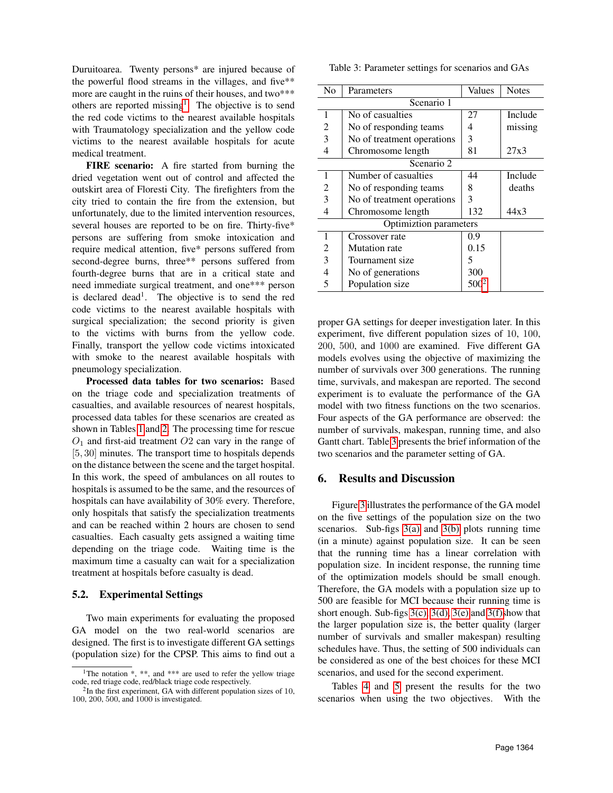Duruitoarea. Twenty persons\* are injured because of the powerful flood streams in the villages, and five\*\* more are caught in the ruins of their houses, and two\*\*\* others are reported missing<sup>[1](#page-5-1)</sup>. The objective is to send the red code victims to the nearest available hospitals with Traumatology specialization and the yellow code victims to the nearest available hospitals for acute medical treatment.

FIRE scenario: A fire started from burning the dried vegetation went out of control and affected the outskirt area of Floresti City. The firefighters from the city tried to contain the fire from the extension, but unfortunately, due to the limited intervention resources, several houses are reported to be on fire. Thirty-five\* persons are suffering from smoke intoxication and require medical attention, five\* persons suffered from second-degree burns, three\*\* persons suffered from fourth-degree burns that are in a critical state and need immediate surgical treatment, and one\*\*\* person is declared dead<sup>1</sup>. The objective is to send the red code victims to the nearest available hospitals with surgical specialization; the second priority is given to the victims with burns from the yellow code. Finally, transport the yellow code victims intoxicated with smoke to the nearest available hospitals with pneumology specialization.

Processed data tables for two scenarios: Based on the triage code and specialization treatments of casualties, and available resources of nearest hospitals, processed data tables for these scenarios are created as shown in Tables [1](#page-4-1) and [2.](#page-4-2) The processing time for rescue  $O<sub>1</sub>$  and first-aid treatment  $O<sub>2</sub>$  can vary in the range of [5, 30] minutes. The transport time to hospitals depends on the distance between the scene and the target hospital. In this work, the speed of ambulances on all routes to hospitals is assumed to be the same, and the resources of hospitals can have availability of 30% every. Therefore, only hospitals that satisfy the specialization treatments and can be reached within 2 hours are chosen to send casualties. Each casualty gets assigned a waiting time depending on the triage code. Waiting time is the maximum time a casualty can wait for a specialization treatment at hospitals before casualty is dead.

### 5.2. Experimental Settings

Two main experiments for evaluating the proposed GA model on the two real-world scenarios are designed. The first is to investigate different GA settings (population size) for the CPSP. This aims to find out a

<span id="page-5-3"></span>Table 3: Parameter settings for scenarios and GAs

| No | Parameters                 | Values  | <b>Notes</b> |
|----|----------------------------|---------|--------------|
|    | Scenario 1                 |         |              |
| 1  | No of casualties           | 27      | Include      |
| 2  | No of responding teams     | 4       | missing      |
| 3  | No of treatment operations | 3       |              |
| 4  | Chromosome length          | 81      | 27x3         |
|    | Scenario 2                 |         |              |
| 1  | Number of casualties       | 44      | Include      |
| 2  | No of responding teams     | 8       | deaths       |
| 3  | No of treatment operations | 3       |              |
| 4  | Chromosome length          | 132     | 44x3         |
|    | Optimiztion parameters     |         |              |
| 1  | Crossover rate             | 0.9     |              |
| 2  | <b>Mutation</b> rate       | 0.15    |              |
| 3  | Tournament size            | 5       |              |
| 4  | No of generations          | 300     |              |
| 5  | Population size            | $500^2$ |              |

proper GA settings for deeper investigation later. In this experiment, five different population sizes of 10, 100, 200, 500, and 1000 are examined. Five different GA models evolves using the objective of maximizing the number of survivals over 300 generations. The running time, survivals, and makespan are reported. The second experiment is to evaluate the performance of the GA model with two fitness functions on the two scenarios. Four aspects of the GA performance are observed: the number of survivals, makespan, running time, and also Gantt chart. Table [3](#page-5-3) presents the brief information of the two scenarios and the parameter setting of GA.

# <span id="page-5-0"></span>6. Results and Discussion

Figure [3](#page-6-0) illustrates the performance of the GA model on the five settings of the population size on the two scenarios. Sub-figs [3\(a\)](#page-6-1) and [3\(b\)](#page-6-2) plots running time (in a minute) against population size. It can be seen that the running time has a linear correlation with population size. In incident response, the running time of the optimization models should be small enough. Therefore, the GA models with a population size up to 500 are feasible for MCI because their running time is short enough. Sub-figs  $3(c)$ ,  $3(d)$ ,  $3(e)$  and  $3(f)$ show that the larger population size is, the better quality (larger number of survivals and smaller makespan) resulting schedules have. Thus, the setting of 500 individuals can be considered as one of the best choices for these MCI scenarios, and used for the second experiment.

Tables [4](#page-6-7) and [5](#page-6-8) present the results for the two scenarios when using the two objectives. With the

<span id="page-5-1"></span><sup>&</sup>lt;sup>1</sup>The notation  $*$ ,  $**$ , and  $***$  are used to refer the yellow triage code, red triage code, red/black triage code respectively.

<span id="page-5-2"></span> $2$ In the first experiment, GA with different population sizes of 10, 100, 200, 500, and 1000 is investigated.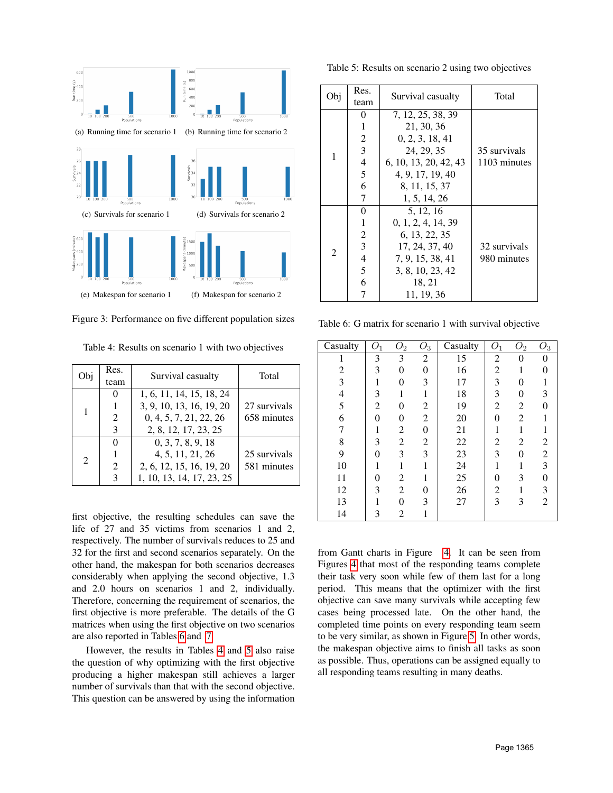<span id="page-6-2"></span><span id="page-6-1"></span><span id="page-6-0"></span>

<span id="page-6-6"></span><span id="page-6-5"></span><span id="page-6-4"></span><span id="page-6-3"></span>Figure 3: Performance on five different population sizes

<span id="page-6-7"></span>

| Эbi | Res.<br>team | Survival casualty                                    | Total        |
|-----|--------------|------------------------------------------------------|--------------|
|     |              | 1, 6, 11, 14, 15, 18, 24<br>3, 9, 10, 13, 16, 19, 20 | 27 survivals |
| 1   | 2            | 0, 4, 5, 7, 21, 22, 26                               | 658 minutes  |
|     | 3            | 2, 8, 12, 17, 23, 25                                 |              |
|     | 0            | 0, 3, 7, 8, 9, 18                                    |              |
| 2   |              | 4, 5, 11, 21, 26                                     | 25 survivals |
|     | 2            | 2, 6, 12, 15, 16, 19, 20                             | 581 minutes  |
|     | 3            | 1, 10, 13, 14, 17, 23, 25                            |              |

first objective, the resulting schedules can save the life of 27 and 35 victims from scenarios 1 and 2, respectively. The number of survivals reduces to 25 and 32 for the first and second scenarios separately. On the other hand, the makespan for both scenarios decreases considerably when applying the second objective, 1.3 and 2.0 hours on scenarios 1 and 2, individually. Therefore, concerning the requirement of scenarios, the first objective is more preferable. The details of the G matrices when using the first objective on two scenarios are also reported in Tables [6](#page-6-9) and [7.](#page-8-8)

However, the results in Tables [4](#page-6-7) and [5](#page-6-8) also raise the question of why optimizing with the first objective producing a higher makespan still achieves a larger number of survivals than that with the second objective. This question can be answered by using the information

<span id="page-6-8"></span>Table 5: Results on scenario 2 using two objectives

| Obj            | Res.                     | Survival casualty     | Total        |  |  |
|----------------|--------------------------|-----------------------|--------------|--|--|
|                | team                     |                       |              |  |  |
|                | 0                        | 7, 12, 25, 38, 39     |              |  |  |
|                | 1                        | 21, 30, 36            |              |  |  |
|                | 2                        | 0, 2, 3, 18, 41       |              |  |  |
| 1              | 3                        | 24, 29, 35            | 35 survivals |  |  |
|                | $\overline{\mathcal{A}}$ | 6, 10, 13, 20, 42, 43 | 1103 minutes |  |  |
|                | 5                        | 4, 9, 17, 19, 40      |              |  |  |
|                | 6                        | 8, 11, 15, 37         |              |  |  |
|                | 7                        | 1, 5, 14, 26          |              |  |  |
|                | 0                        | 5, 12, 16             |              |  |  |
|                | 1                        | 0, 1, 2, 4, 14, 39    |              |  |  |
|                | $\overline{c}$           | 6, 13, 22, 35         |              |  |  |
| $\overline{2}$ | 3                        | 17, 24, 37, 40        | 32 survivals |  |  |
|                | $\overline{\mathcal{L}}$ | 7, 9, 15, 38, 41      | 980 minutes  |  |  |
|                | 5                        | 3, 8, 10, 23, 42      |              |  |  |
|                | 6                        | 18, 21                |              |  |  |
|                | 7                        | 11, 19, 36            |              |  |  |

<span id="page-6-9"></span>Table 6: G matrix for scenario 1 with survival objective

| $\overline{\text{C}}$ asualty | O <sub>1</sub> | $\overline{O}_2$ | $\tilde{O}_3$  | Casualty | $O_1$          | $\bar{O}_2$    | $\overline{O}_3$ |
|-------------------------------|----------------|------------------|----------------|----------|----------------|----------------|------------------|
|                               |                |                  |                |          |                |                |                  |
|                               | 3              | 3                | 2              | 15       | 2              | 0              |                  |
| 2                             | 3              | $\overline{0}$   | $\theta$       | 16       | $\overline{c}$ | 1              | 0                |
| 3                             | 1              | 0                | 3              | 17       | 3              | $\theta$       |                  |
| $\overline{4}$                | 3              | 1                | 1              | 18       | 3              | 0              | 3                |
| 5                             | $\overline{2}$ | 0                | 2              | 19       | $\overline{2}$ | $\overline{c}$ | $\Omega$         |
| 6                             | $\theta$       | 0                | $\overline{2}$ | 20       | 0              | $\overline{c}$ |                  |
| 7                             | 1              | 2                | $\overline{0}$ | 21       | 1              | 1              |                  |
| 8                             | 3              | 2                | 2              | 22       | $\overline{c}$ | 2              | 2                |
| 9                             | 0              | 3                | 3              | 23       | 3              | 0              | $\overline{2}$   |
| 10                            | 1              | 1                | 1              | 24       | 1              | 1              | 3                |
| 11                            | 0              | 2                | 1              | 25       | 0              | 3              | $\Omega$         |
| 12                            | 3              | 2                | 0              | 26       | 2              | 1              | 3                |
| 13                            | 1              | 0                | 3              | 27       | 3              | 3              | $\overline{2}$   |
| 14                            | 3              | 2                | 1              |          |                |                |                  |

from Gantt charts in Figure [4.](#page-7-0) It can be seen from Figures [4](#page-7-0) that most of the responding teams complete their task very soon while few of them last for a long period. This means that the optimizer with the first objective can save many survivals while accepting few cases being processed late. On the other hand, the completed time points on every responding team seem to be very similar, as shown in Figure [5.](#page-7-1) In other words, the makespan objective aims to finish all tasks as soon as possible. Thus, operations can be assigned equally to all responding teams resulting in many deaths.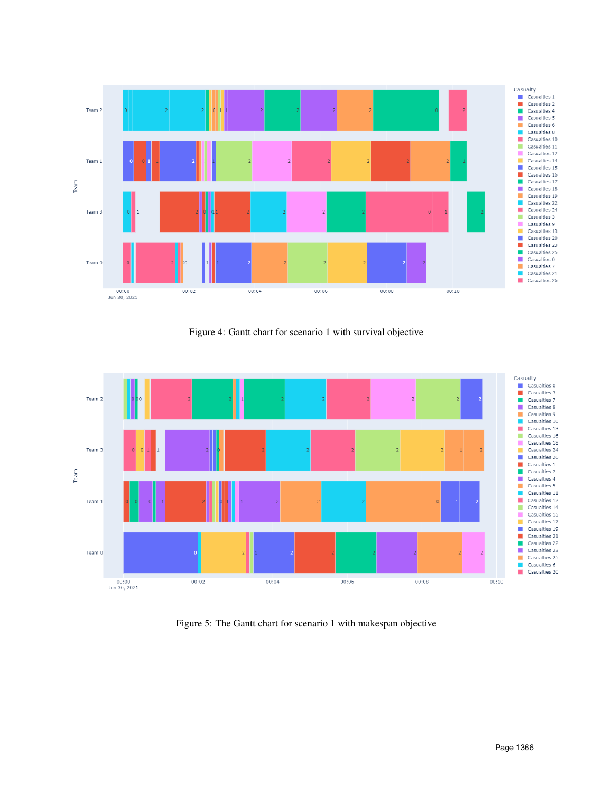<span id="page-7-0"></span>

Figure 4: Gantt chart for scenario 1 with survival objective

<span id="page-7-1"></span>

Figure 5: The Gantt chart for scenario 1 with makespan objective